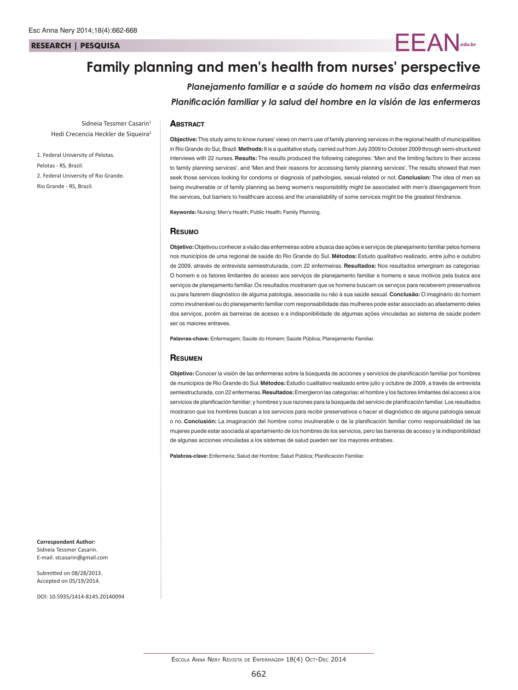#### **RESEARCH | PESQUISA**

# **Family planning and men's health from nurses' perspective**

*Planejamento familiar e a saúde do homem na visão das enfermeiras Planificación familiar y la salud del hombre en la visión de las enfermeras*

 $=$   $\mathsf{F}$   $\mathsf{A}$   $\mathsf{N}$ <sub>.edu.br</sub>

### **Abstract**

Sidneia Tessmer Casarin<sup>1</sup> Hedi Crecencia Heckler de Siqueira<sup>2</sup>

1. Federal University of Pelotas. Pelotas - RS, Brazil. 2. Federal University of Rio Grande. Rio Grande - RS, Brazil.

**Objective:** This study aims to know nurses' views on men's use of family planning services in the regional health of municipalities in Rio Grande do Sul, Brazil. **Methods:** It is a qualitative study, carried out from July 2009 to October 2009 through semi-structured interviews with 22 nurses. **Results:** The results produced the following categories: 'Men and the limiting factors to their access to family planning services', and 'Men and their reasons for accessing family planning services'. The results showed that men seek those services looking for condoms or diagnosis of pathologies, sexual-related or not. **Conclusion:** The idea of men as being invulnerable or of family planning as being women's responsibility might be associated with men's disengagement from the services, but barriers to healthcare access and the unavailability of some services might be the greatest hindrance.

**Keywords:** Nursing; Men's Health; Public Health; Family Planning.

#### **Resumo**

**Objetivo:** Objetivou conhecer a visão das enfermeiras sobre a busca das ações e serviços de planejamento familiar pelos homens nos municípios de uma regional de saúde do Rio Grande do Sul. **Métodos:** Estudo qualitativo realizado, entre julho e outubro de 2009, através de entrevista semiestruturada, com 22 enfermeiras. **Resultados:** Nos resultados emergiram as categorias: O homem e os fatores limitantes do acesso aos serviços de planejamento familiar e homens e seus motivos pela busca aos serviços de planejamento familiar. Os resultados mostraram que os homens buscam os serviços para receberem preservativos ou para fazerem diagnóstico de alguma patologia, associada ou não à sua saúde sexual. **Conclusão:** O imaginário do homem como invulnerável ou do planejamento familiar com responsabilidade das mulheres pode estar associado ao afastamento deles dos serviços, porém as barreiras de acesso e a indisponibilidade de algumas ações vinculadas ao sistema de saúde podem ser os maiores entraves.

**Palavras-chave:** Enfermagem; Saúde do Homem; Saúde Pública; Planejamento Familiar.

#### **Resumen**

**Objetivo:** Conocer la visión de las enfermeras sobre la búsqueda de acciones y servicios de planificación familiar por hombres de municipios de Rio Grande do Sul. **Métodos:** Estudio cualitativo realizado entre julio y octubre de 2009, a través de entrevista semiestructurada, con 22 enfermeras. **Resultados:** Emergieron las categorías: el hombre y los factores limitantes del acceso a los servicios de planificación familiar; y hombres y sus razones para la búsqueda del servicio de planificación familiar. Los resultados mostraron que los hombres buscan a los servicios para recibir preservativos o hacer el diagnóstico de alguna patología sexual o no. **Conclusión:** La imaginación del hombre como invulnerable o de la planificación familiar como responsabilidad de las mujeres puede estar asociada al apartamiento de los hombres de los servicios, pero las barreras de acceso y la indisponibilidad de algunas acciones vinculadas a los sistemas de salud pueden ser los mayores entrabes.

**Palabras-clave:** Enfermería; Salud del Hombre; Salud Pública; Planificación Familiar.

**Correspondent Author:** Sidneia Tessmer Casarin. E-mail: stcasarin@gmail.com

Submitted on 08/28/2013. Accepted on 05/19/2014.

DOI: 10.5935/1414-8145.20140094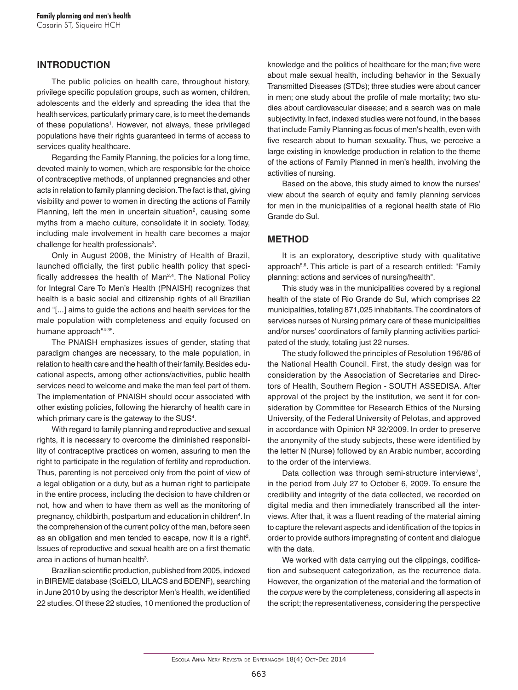## **INTRODUCTION**

The public policies on health care, throughout history, privilege specific population groups, such as women, children, adolescents and the elderly and spreading the idea that the health services, particularly primary care, is to meet the demands of these populations<sup>1</sup>. However, not always, these privileged populations have their rights guaranteed in terms of access to services quality healthcare.

Regarding the Family Planning, the policies for a long time, devoted mainly to women, which are responsible for the choice of contraceptive methods, of unplanned pregnancies and other acts in relation to family planning decision. The fact is that, giving visibility and power to women in directing the actions of Family Planning, left the men in uncertain situation<sup>2</sup>, causing some myths from a macho culture, consolidate it in society. Today, including male involvement in health care becomes a major challenge for health professionals $^3$ .

Only in August 2008, the Ministry of Health of Brazil, launched officially, the first public health policy that specifically addresses the health of Man<sup>2,4</sup>. The National Policy for Integral Care To Men's Health (PNAISH) recognizes that health is a basic social and citizenship rights of all Brazilian and "[...] aims to guide the actions and health services for the male population with completeness and equity focused on humane approach"4:35.

The PNAISH emphasizes issues of gender, stating that paradigm changes are necessary, to the male population, in relation to health care and the health of their family. Besides educational aspects, among other actions/activities, public health services need to welcome and make the man feel part of them. The implementation of PNAISH should occur associated with other existing policies, following the hierarchy of health care in which primary care is the gateway to the  $\mathsf{SUS^4}.$ 

With regard to family planning and reproductive and sexual rights, it is necessary to overcome the diminished responsibility of contraceptive practices on women, assuring to men the right to participate in the regulation of fertility and reproduction. Thus, parenting is not perceived only from the point of view of a legal obligation or a duty, but as a human right to participate in the entire process, including the decision to have children or not, how and when to have them as well as the monitoring of pregnancy, childbirth, postpartum and education in children<sup>4</sup>. In the comprehension of the current policy of the man, before seen as an obligation and men tended to escape, now it is a right<sup>2</sup>. Issues of reproductive and sexual health are on a first thematic area in actions of human health $3$ .

Brazilian scientific production, published from 2005, indexed in BIREME database (SciELO, LILACS and BDENF), searching in June 2010 by using the descriptor Men's Health, we identified 22 studies. Of these 22 studies, 10 mentioned the production of knowledge and the politics of healthcare for the man; five were about male sexual health, including behavior in the Sexually Transmitted Diseases (STDs); three studies were about cancer in men; one study about the profile of male mortality; two studies about cardiovascular disease; and a search was on male subjectivity. In fact, indexed studies were not found, in the bases that include Family Planning as focus of men's health, even with five research about to human sexuality. Thus, we perceive a large existing in knowledge production in relation to the theme of the actions of Family Planned in men's health, involving the activities of nursing.

Based on the above, this study aimed to know the nurses' view about the search of equity and family planning services for men in the municipalities of a regional health state of Rio Grande do Sul.

## **METHOD**

It is an exploratory, descriptive study with qualitative approach<sup>5,6</sup>. This article is part of a research entitled: "Family planning: actions and services of nursing/health".

This study was in the municipalities covered by a regional health of the state of Rio Grande do Sul, which comprises 22 municipalities, totaling 871,025 inhabitants. The coordinators of services nurses of Nursing primary care of these municipalities and/or nurses' coordinators of family planning activities participated of the study, totaling just 22 nurses.

The study followed the principles of Resolution 196/86 of the National Health Council. First, the study design was for consideration by the Association of Secretaries and Directors of Health, Southern Region - SOUTH ASSEDISA. After approval of the project by the institution, we sent it for consideration by Committee for Research Ethics of the Nursing University, of the Federal University of Pelotas, and approved in accordance with Opinion Nº 32/2009. In order to preserve the anonymity of the study subjects, these were identified by the letter N (Nurse) followed by an Arabic number, according to the order of the interviews.

Data collection was through semi-structure interviews<sup>7</sup>, in the period from July 27 to October 6, 2009. To ensure the credibility and integrity of the data collected, we recorded on digital media and then immediately transcribed all the interviews. After that, it was a fluent reading of the material aiming to capture the relevant aspects and identification of the topics in order to provide authors impregnating of content and dialogue with the data.

We worked with data carrying out the clippings, codification and subsequent categorization, as the recurrence data. However, the organization of the material and the formation of the *corpus* were by the completeness, considering all aspects in the script; the representativeness, considering the perspective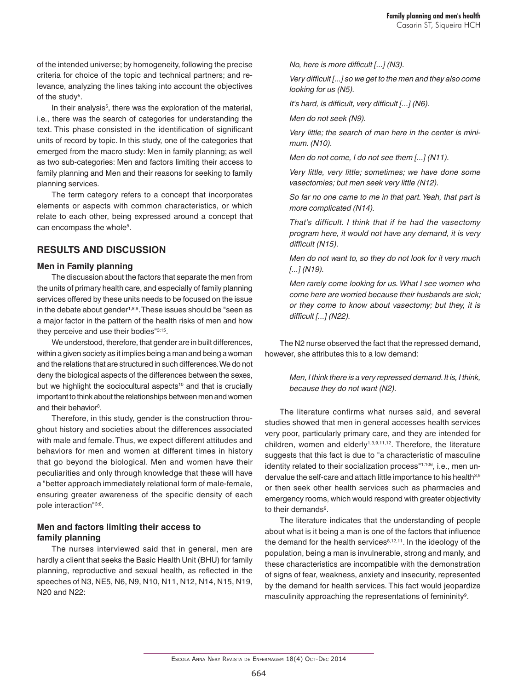of the intended universe; by homogeneity, following the precise criteria for choice of the topic and technical partners; and relevance, analyzing the lines taking into account the objectives of the study<sup>5</sup>.

In their analysis<sup>5</sup>, there was the exploration of the material, i.e., there was the search of categories for understanding the text. This phase consisted in the identification of significant units of record by topic. In this study, one of the categories that emerged from the macro study: Men in family planning; as well as two sub-categories: Men and factors limiting their access to family planning and Men and their reasons for seeking to family planning services.

The term category refers to a concept that incorporates elements or aspects with common characteristics, or which relate to each other, being expressed around a concept that  $can$  encompass the whole<sup>5</sup>.

# **RESULTS AND DISCUSSION**

### **Men in Family planning**

The discussion about the factors that separate the men from the units of primary health care, and especially of family planning services offered by these units needs to be focused on the issue in the debate about gender<sup>1,8,9</sup>. These issues should be "seen as a major factor in the pattern of the health risks of men and how they perceive and use their bodies"3:15.

We understood, therefore, that gender are in built differences, within a given society as it implies being a man and being a woman and the relations that are structured in such differences. We do not deny the biological aspects of the differences between the sexes, but we highlight the sociocultural aspects<sup>10</sup> and that is crucially important to think about the relationships between men and women and their behavior<sup>8</sup>.

Therefore, in this study, gender is the construction throughout history and societies about the differences associated with male and female. Thus, we expect different attitudes and behaviors for men and women at different times in history that go beyond the biological. Men and women have their peculiarities and only through knowledge that these will have a "better approach immediately relational form of male-female, ensuring greater awareness of the specific density of each pole interaction"3:8.

# **Men and factors limiting their access to family planning**

The nurses interviewed said that in general, men are hardly a client that seeks the Basic Health Unit (BHU) for family planning, reproductive and sexual health, as reflected in the speeches of N3, NE5, N6, N9, N10, N11, N12, N14, N15, N19, N20 and N22:

*No, here is more difficult [...] (N3).*

*Very difficult [...] so we get to the men and they also come looking for us (N5).*

*It's hard, is difficult, very difficult [...] (N6).*

*Men do not seek (N9).*

*Very little; the search of man here in the center is minimum. (N10).*

*Men do not come, I do not see them [...] (N11).*

*Very little, very little; sometimes; we have done some vasectomies; but men seek very little (N12).*

*So far no one came to me in that part. Yeah, that part is more complicated (N14).*

*That's difficult. I think that if he had the vasectomy program here, it would not have any demand, it is very difficult (N15).*

*Men do not want to, so they do not look for it very much [...] (N19).*

*Men rarely come looking for us. What I see women who come here are worried because their husbands are sick; or they come to know about vasectomy; but they, it is difficult [...] (N22).*

The N2 nurse observed the fact that the repressed demand, however, she attributes this to a low demand:

> *Men, I think there is a very repressed demand. It is, I think, because they do not want (N2).*

The literature confirms what nurses said, and several studies showed that men in general accesses health services very poor, particularly primary care, and they are intended for children, women and elderly<sup>1,3,9,11,12</sup>. Therefore, the literature suggests that this fact is due to "a characteristic of masculine identity related to their socialization process"1:106, i.e., men undervalue the self-care and attach little importance to his health<sup>3,9</sup> or then seek other health services such as pharmacies and emergency rooms, which would respond with greater objectivity to their demands<sup>9</sup>.

The literature indicates that the understanding of people about what is it being a man is one of the factors that influence the demand for the health services $8,12,11$ . In the ideology of the population, being a man is invulnerable, strong and manly, and these characteristics are incompatible with the demonstration of signs of fear, weakness, anxiety and insecurity, represented by the demand for health services. This fact would jeopardize masculinity approaching the representations of femininity<sup>9</sup>.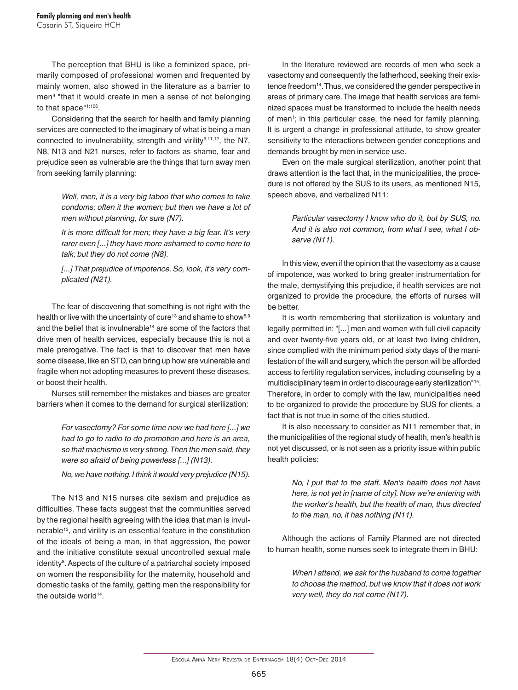The perception that BHU is like a feminized space, primarily composed of professional women and frequented by mainly women, also showed in the literature as a barrier to men<sup>9</sup> "that it would create in men a sense of not belonging to that space"1:106.

Considering that the search for health and family planning services are connected to the imaginary of what is being a man connected to invulnerability, strength and virility $9,11,12$ , the N7, N8, N13 and N21 nurses, refer to factors as shame, fear and prejudice seen as vulnerable are the things that turn away men from seeking family planning:

> *Well, men, it is a very big taboo that who comes to take condoms; often it the women; but then we have a lot of men without planning, for sure (N7).*

> *It is more difficult for men; they have a big fear. It's very rarer even [...] they have more ashamed to come here to talk; but they do not come (N8).*

> *[...] That prejudice of impotence. So, look, it's very complicated (N21).*

The fear of discovering that something is not right with the health or live with the uncertainty of cure<sup>13</sup> and shame to show<sup>8,9</sup> and the belief that is invulnerable<sup>14</sup> are some of the factors that drive men of health services, especially because this is not a male prerogative. The fact is that to discover that men have some disease, like an STD, can bring up how are vulnerable and fragile when not adopting measures to prevent these diseases, or boost their health.

Nurses still remember the mistakes and biases are greater barriers when it comes to the demand for surgical sterilization:

> *For vasectomy? For some time now we had here [...] we had to go to radio to do promotion and here is an area, so that machismo is very strong. Then the men said, they were so afraid of being powerless [...] (N13).*

> *No, we have nothing. I think it would very prejudice (N15).*

The N13 and N15 nurses cite sexism and prejudice as difficulties. These facts suggest that the communities served by the regional health agreeing with the idea that man is invulnerable<sup>13</sup>, and virility is an essential feature in the constitution of the ideals of being a man, in that aggression, the power and the initiative constitute sexual uncontrolled sexual male identity<sup>8</sup>. Aspects of the culture of a patriarchal society imposed on women the responsibility for the maternity, household and domestic tasks of the family, getting men the responsibility for the outside world<sup>14</sup>.

In the literature reviewed are records of men who seek a vasectomy and consequently the fatherhood, seeking their existence freedom<sup>14</sup>. Thus, we considered the gender perspective in areas of primary care. The image that health services are feminized spaces must be transformed to include the health needs of men<sup>1</sup>; in this particular case, the need for family planning. It is urgent a change in professional attitude, to show greater sensitivity to the interactions between gender conceptions and demands brought by men in service use.

Even on the male surgical sterilization, another point that draws attention is the fact that, in the municipalities, the procedure is not offered by the SUS to its users, as mentioned N15, speech above, and verbalized N11:

> *Particular vasectomy I know who do it, but by SUS, no. And it is also not common, from what I see, what I observe (N11).*

In this view, even if the opinion that the vasectomy as a cause of impotence, was worked to bring greater instrumentation for the male, demystifying this prejudice, if health services are not organized to provide the procedure, the efforts of nurses will be better.

It is worth remembering that sterilization is voluntary and legally permitted in: "[...] men and women with full civil capacity and over twenty-five years old, or at least two living children, since complied with the minimum period sixty days of the manifestation of the will and surgery, which the person will be afforded access to fertility regulation services, including counseling by a multidisciplinary team in order to discourage early sterilization"15. Therefore, in order to comply with the law, municipalities need to be organized to provide the procedure by SUS for clients, a fact that is not true in some of the cities studied.

It is also necessary to consider as N11 remember that, in the municipalities of the regional study of health, men's health is not yet discussed, or is not seen as a priority issue within public health policies:

> *No, I put that to the staff. Men's health does not have here, is not yet in [name of city]. Now we're entering with the worker's health, but the health of man, thus directed to the man, no, it has nothing (N11).*

Although the actions of Family Planned are not directed to human health, some nurses seek to integrate them in BHU:

> *When I attend, we ask for the husband to come together to choose the method, but we know that it does not work very well, they do not come (N17).*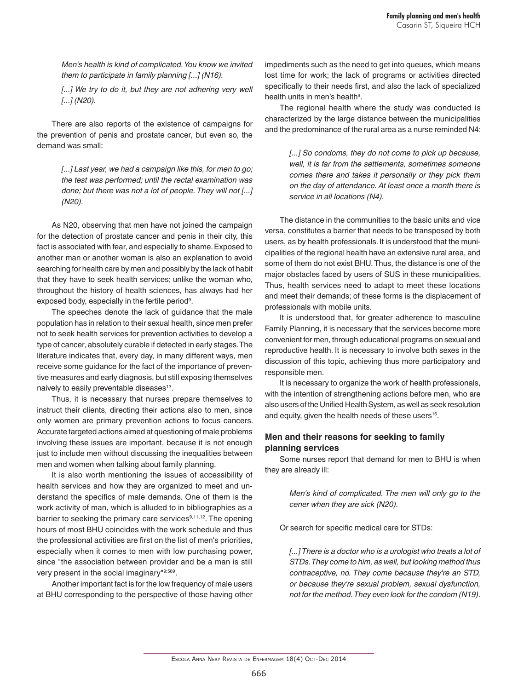*Men's health is kind of complicated. You know we invited them to participate in family planning [...] (N16).*

[...] We try to do it, but they are not adhering very well *[...] (N20).*

There are also reports of the existence of campaigns for the prevention of penis and prostate cancer, but even so, the demand was small:

> *[...] Last year, we had a campaign like this, for men to go; the test was performed; until the rectal examination was done; but there was not a lot of people. They will not [...] (N20).*

As N20, observing that men have not joined the campaign for the detection of prostate cancer and penis in their city, this fact is associated with fear, and especially to shame. Exposed to another man or another woman is also an explanation to avoid searching for health care by men and possibly by the lack of habit that they have to seek health services; unlike the woman who, throughout the history of health sciences, has always had her exposed body, especially in the fertile period $^{\circ}$ .

The speeches denote the lack of guidance that the male population has in relation to their sexual health, since men prefer not to seek health services for prevention activities to develop a type of cancer, absolutely curable if detected in early stages. The literature indicates that, every day, in many different ways, men receive some guidance for the fact of the importance of preventive measures and early diagnosis, but still exposing themselves naively to easily preventable diseases<sup>13</sup>.

Thus, it is necessary that nurses prepare themselves to instruct their clients, directing their actions also to men, since only women are primary prevention actions to focus cancers. Accurate targeted actions aimed at questioning of male problems involving these issues are important, because it is not enough just to include men without discussing the inequalities between men and women when talking about family planning.

It is also worth mentioning the issues of accessibility of health services and how they are organized to meet and understand the specifics of male demands. One of them is the work activity of man, which is alluded to in bibliographies as a barrier to seeking the primary care services<sup>9,11,12</sup>. The opening hours of most BHU coincides with the work schedule and thus the professional activities are first on the list of men's priorities, especially when it comes to men with low purchasing power, since "the association between provider and be a man is still very present in the social imaginary"9:569.

Another important fact is for the low frequency of male users at BHU corresponding to the perspective of those having other

impediments such as the need to get into queues, which means lost time for work; the lack of programs or activities directed specifically to their needs first, and also the lack of specialized health units in men's health<sup>9</sup>.

The regional health where the study was conducted is characterized by the large distance between the municipalities and the predominance of the rural area as a nurse reminded N4:

> *[...] So condoms, they do not come to pick up because, well, it is far from the settlements, sometimes someone comes there and takes it personally or they pick them on the day of attendance. At least once a month there is service in all locations (N4).*

The distance in the communities to the basic units and vice versa, constitutes a barrier that needs to be transposed by both users, as by health professionals. It is understood that the municipalities of the regional health have an extensive rural area, and some of them do not exist BHU. Thus, the distance is one of the major obstacles faced by users of SUS in these municipalities. Thus, health services need to adapt to meet these locations and meet their demands; of these forms is the displacement of professionals with mobile units.

It is understood that, for greater adherence to masculine Family Planning, it is necessary that the services become more convenient for men, through educational programs on sexual and reproductive health. It is necessary to involve both sexes in the discussion of this topic, achieving thus more participatory and responsible men.

It is necessary to organize the work of health professionals, with the intention of strengthening actions before men, who are also users of the Unified Health System, as well as seek resolution and equity, given the health needs of these users<sup>16</sup>.

### **Men and their reasons for seeking to family planning services**

Some nurses report that demand for men to BHU is when they are already ill:

> *Men's kind of complicated. The men will only go to the cener when they are sick (N20).*

Or search for specific medical care for STDs:

*[...] There is a doctor who is a urologist who treats a lot of STDs. They come to him, as well, but looking method thus contraceptive, no. They come because they're an STD, or because they're sexual problem, sexual dysfunction, not for the method. They even look for the condom (N19).*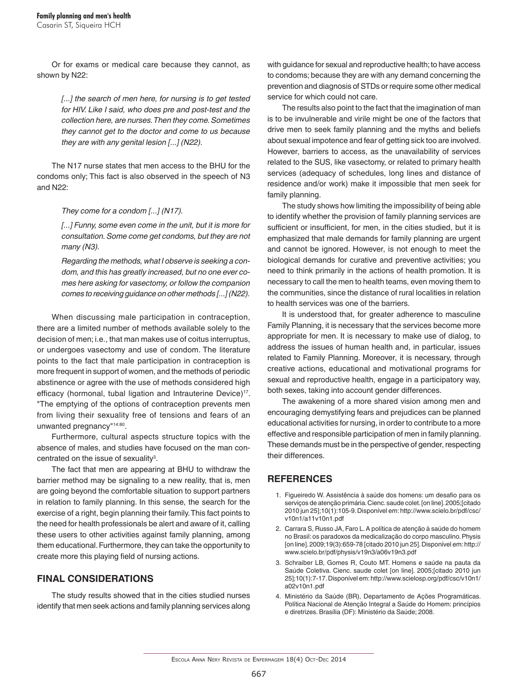Or for exams or medical care because they cannot, as shown by N22:

> [...] the search of men here, for nursing is to get tested *for HIV. Like I said, who does pre and post-test and the collection here, are nurses. Then they come. Sometimes they cannot get to the doctor and come to us because they are with any genital lesion [...] (N22).*

The N17 nurse states that men access to the BHU for the condoms only; This fact is also observed in the speech of N3 and N22:

*They come for a condom [...] (N17).*

*[...] Funny, some even come in the unit, but it is more for consultation. Some come get condoms, but they are not many (N3).*

*Regarding the methods, what I observe is seeking a condom, and this has greatly increased, but no one ever comes here asking for vasectomy, or follow the companion comes to receiving guidance on other methods [...] (N22).*

When discussing male participation in contraception, there are a limited number of methods available solely to the decision of men; i.e., that man makes use of coitus interruptus, or undergoes vasectomy and use of condom. The literature points to the fact that male participation in contraception is more frequent in support of women, and the methods of periodic abstinence or agree with the use of methods considered high efficacy (hormonal, tubal ligation and Intrauterine Device)<sup>17</sup>. "The emptying of the options of contraception prevents men from living their sexuality free of tensions and fears of an unwanted pregnancy"14:80.

Furthermore, cultural aspects structure topics with the absence of males, and studies have focused on the man concentrated on the issue of sexuality $^3$ .

The fact that men are appearing at BHU to withdraw the barrier method may be signaling to a new reality, that is, men are going beyond the comfortable situation to support partners in relation to family planning. In this sense, the search for the exercise of a right, begin planning their family. This fact points to the need for health professionals be alert and aware of it, calling these users to other activities against family planning, among them educational. Furthermore, they can take the opportunity to create more this playing field of nursing actions.

# **FINAL CONSIDERATIONS**

The study results showed that in the cities studied nurses identify that men seek actions and family planning services along

with guidance for sexual and reproductive health; to have access to condoms; because they are with any demand concerning the prevention and diagnosis of STDs or require some other medical service for which could not care.

The results also point to the fact that the imagination of man is to be invulnerable and virile might be one of the factors that drive men to seek family planning and the myths and beliefs about sexual impotence and fear of getting sick too are involved. However, barriers to access, as the unavailability of services related to the SUS, like vasectomy, or related to primary health services (adequacy of schedules, long lines and distance of residence and/or work) make it impossible that men seek for family planning.

The study shows how limiting the impossibility of being able to identify whether the provision of family planning services are sufficient or insufficient, for men, in the cities studied, but it is emphasized that male demands for family planning are urgent and cannot be ignored. However, is not enough to meet the biological demands for curative and preventive activities; you need to think primarily in the actions of health promotion. It is necessary to call the men to health teams, even moving them to the communities, since the distance of rural localities in relation to health services was one of the barriers.

It is understood that, for greater adherence to masculine Family Planning, it is necessary that the services become more appropriate for men. It is necessary to make use of dialog, to address the issues of human health and, in particular, issues related to Family Planning. Moreover, it is necessary, through creative actions, educational and motivational programs for sexual and reproductive health, engage in a participatory way, both sexes, taking into account gender differences.

The awakening of a more shared vision among men and encouraging demystifying fears and prejudices can be planned educational activities for nursing, in order to contribute to a more effective and responsible participation of men in family planning. These demands must be in the perspective of gender, respecting their differences.

# **REFERENCES**

- 1. Figueiredo W. Assistência à saúde dos homens: um desafio para os serviços de atenção primária. Cienc. saude colet. [on line]. 2005;[citado 2010 jun 25];10(1):105-9. Disponível em: http://www.scielo.br/pdf/csc/ v10n1/a11v10n1.pdf
- 2. Carrara S, Russo JA, Faro L. A política de atenção à saúde do homem no Brasil: os paradoxos da medicalização do corpo masculino. Physis [on line]. 2009;19(3):659-78 [citado 2010 jun 25]. Disponível em: http:// www.scielo.br/pdf/physis/v19n3/a06v19n3.pdf
- 3. Schraiber LB, Gomes R, Couto MT. Homens e saúde na pauta da Saúde Coletiva. Cienc. saude colet [on line]. 2005;[citado 2010 jun 25];10(1):7-17. Disponível em: http://www.scielosp.org/pdf/csc/v10n1/ a02v10n1.pdf
- 4. Ministério da Saúde (BR), Departamento de Ações Programáticas. Política Nacional de Atenção Integral a Saúde do Homem: princípios e diretrizes. Brasília (DF): Ministério da Saúde; 2008.